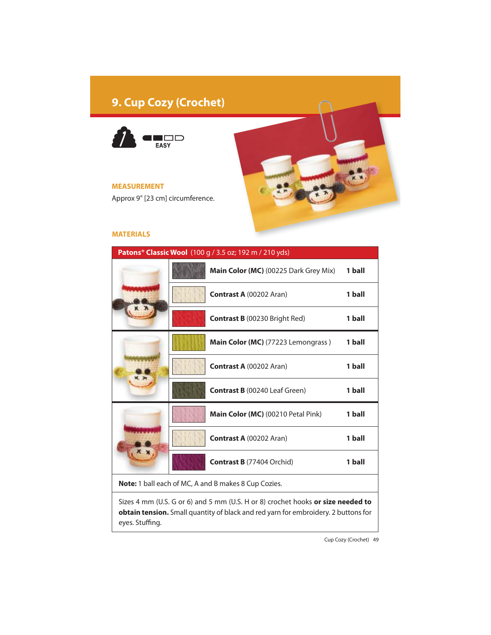# **9. Cup Cozy (Crochet)**



## **MEASUREMENT**

Approx 9" [23 cm] circumference.



## **MATERIALS**

| <b>Patons<sup>®</sup> Classic Wool</b> (100 g / 3.5 oz; 192 m / 210 yds) |                                              |        |
|--------------------------------------------------------------------------|----------------------------------------------|--------|
|                                                                          | <b>Main Color (MC)</b> (00225 Dark Grey Mix) | 1 ball |
|                                                                          | <b>Contrast A (00202 Aran)</b>               | 1 ball |
|                                                                          | <b>Contrast B</b> (00230 Bright Red)         | 1 ball |
|                                                                          | Main Color (MC) (77223 Lemongrass)           | 1 ball |
|                                                                          | <b>Contrast A (00202 Aran)</b>               | 1 ball |
|                                                                          | <b>Contrast B</b> (00240 Leaf Green)         | 1 ball |
|                                                                          | <b>Main Color (MC)</b> (00210 Petal Pink)    | 1 ball |
|                                                                          | <b>Contrast A (00202 Aran)</b>               | 1 ball |
|                                                                          | <b>Contrast B</b> (77404 Orchid)             | 1 ball |
| Nets: $1 \text{ ball}$ as she of MC, A and B makes 8 Cup Cariss          |                                              |        |

**Note:** 1 ball each of MC, A and B makes 8 Cup Cozies.

Sizes 4 mm (U.S. G or 6) and 5 mm (U.S. H or 8) crochet hooks **or size needed to obtain tension.** Small quantity of black and red yarn for embroidery. 2 buttons for eyes. Stuffing.

Cup Cozy (Crochet) 49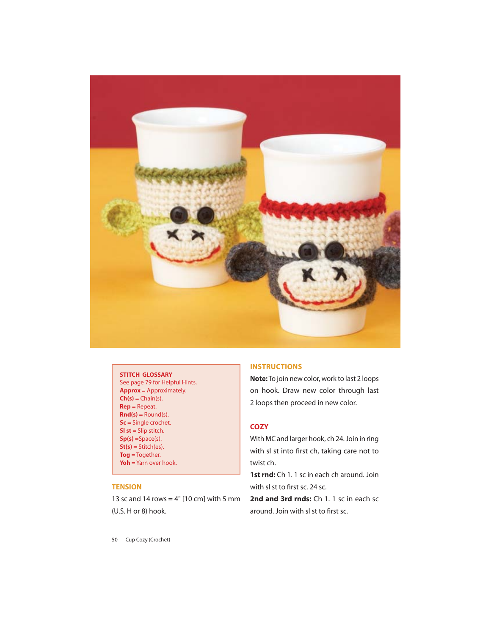

**STITCH GLOSSARY** See page 79 for Helpful Hints. **Approx** = Approximately. **Ch(s)** = Chain(s). **Rep** = Repeat.  $Rnd(s) = Round(s).$ **Sc** = Single crochet. **Sl st** = Slip stitch. **Sp(s)** =Space(s).  $St(s) = Stitch(es).$ **Tog** = Together. **Yoh** = Yarn over hook.

#### **TENSION**

13 sc and 14 rows  $=$  4" [10 cm] with 5 mm (U.S. H or 8) hook.

## **INSTRUCTIONS**

**Note:** To join new color, work to last 2 loops on hook. Draw new color through last 2 loops then proceed in new color.

## **COZY**

With MC and larger hook, ch 24. Join in ring with sl st into first ch, taking care not to twist ch.

**1st rnd:** Ch 1. 1 sc in each ch around. Join with sl st to first sc. 24 sc.

**2nd and 3rd rnds:** Ch 1. 1 sc in each sc around. Join with sl st to first sc.

50 Cup Cozy (Crochet)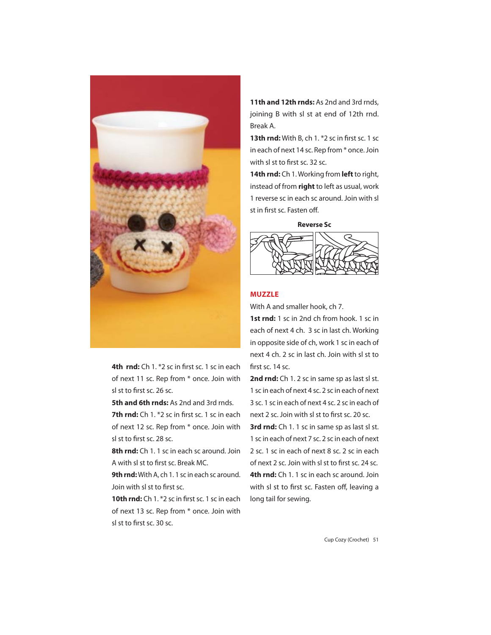

4th rnd: Ch 1. \*2 sc in first sc. 1 sc in each of next 11 sc. Rep from \* once. Join with sl st to first sc. 26 sc.

**5th and 6th rnds:** As 2nd and 3rd rnds.

**7th rnd:** Ch 1. \*2 sc in first sc. 1 sc in each of next 12 sc. Rep from \* once. Join with sl st to first sc. 28 sc.

8th rnd: Ch 1. 1 sc in each sc around. Join A with sl st to first sc. Break MC.

**9th rnd:** With A, ch 1. 1 sc in each sc around. Join with sl st to first sc.

**10th rnd:** Ch 1. \*2 sc in first sc. 1 sc in each of next 13 sc. Rep from \* once. Join with sl st to first sc. 30 sc.

**11th and 12th rnds:** As 2nd and 3rd rnds, joining B with sl st at end of 12th rnd. Break A.

**13th rnd:** With B, ch 1. \*2 sc in first sc. 1 sc in each of next 14 sc. Rep from \* once. Join with sl st to first sc. 32 sc.

**14th rnd:** Ch 1. Working from **left** to right, instead of from **right** to left as usual, work 1 reverse sc in each sc around. Join with sl st in first sc. Fasten off.

**Reverse Sc**



#### **MUZZLE**

With A and smaller hook, ch 7.

**1st rnd:** 1 sc in 2nd ch from hook. 1 sc in each of next 4 ch. 3 sc in last ch. Working in opposite side of ch, work 1 sc in each of next 4 ch. 2 sc in last ch. Join with sl st to first sc. 14 sc.

**2nd rnd:** Ch 1. 2 sc in same sp as last sl st. 1 sc in each of next 4 sc. 2 sc in each of next 3 sc. 1 sc in each of next 4 sc. 2 sc in each of next 2 sc. Join with sl st to first sc. 20 sc. **3rd rnd:** Ch 1. 1 sc in same sp as last sl st.

1 sc in each of next 7 sc. 2 sc in each of next 2 sc. 1 sc in each of next 8 sc. 2 sc in each of next 2 sc. Join with sl st to first sc. 24 sc. **4th rnd:** Ch 1. 1 sc in each sc around. Join with sl st to first sc. Fasten off, leaving a long tail for sewing.